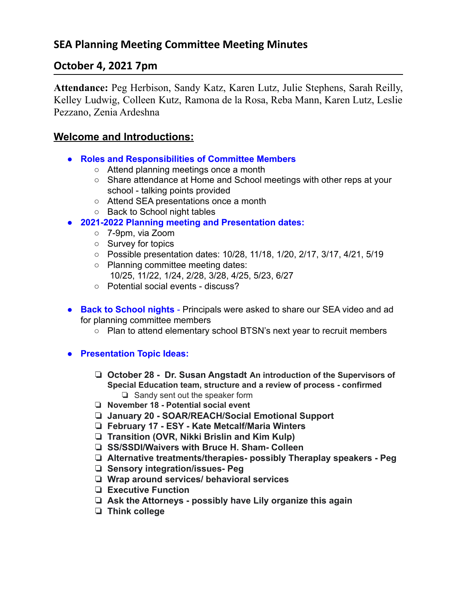# **October 4, 2021 7pm**

**Attendance:** Peg Herbison, Sandy Katz, Karen Lutz, Julie Stephens, Sarah Reilly, Kelley Ludwig, Colleen Kutz, Ramona de la Rosa, Reba Mann, Karen Lutz, Leslie Pezzano, Zenia Ardeshna

#### **Welcome and Introductions:**

- **Roles and Responsibilities of Committee Members**
	- Attend planning meetings once a month
	- Share attendance at Home and School meetings with other reps at your school - talking points provided
	- Attend SEA presentations once a month
	- Back to School night tables
- **● 2021-2022 Planning meeting and Presentation dates:**
	- 7-9pm, via Zoom
	- Survey for topics
	- Possible presentation dates: 10/28, 11/18, 1/20, 2/17, 3/17, 4/21, 5/19
	- Planning committee meeting dates: 10/25, 11/22, 1/24, 2/28, 3/28, 4/25, 5/23, 6/27
	- Potential social events discuss?
- **Back to School nights** Principals were asked to share our SEA video and ad for planning committee members
	- Plan to attend elementary school BTSN's next year to recruit members
- **● Presentation Topic Ideas:**
	- ❏ **October 28 Dr. Susan Angstadt An introduction of the Supervisors of Special Education team, structure and a review of process - confirmed** ❏ Sandy sent out the speaker form
	- ❏ **November 18 - Potential social event**
	- ❏ **January 20 SOAR/REACH/Social Emotional Support**
	- ❏ **February 17 ESY Kate Metcalf/Maria Winters**
	- ❏ **Transition (OVR, Nikki Brislin and Kim Kulp)**
	- ❏ **SS/SSDI/Waivers with Bruce H. Sham- Colleen**
	- ❏ **Alternative treatments/therapies- possibly Theraplay speakers Peg**
	- ❏ **Sensory integration/issues- Peg**
	- ❏ **Wrap around services/ behavioral services**
	- ❏ **Executive Function**
	- ❏ **Ask the Attorneys possibly have Lily organize this again**
	- ❏ **Think college**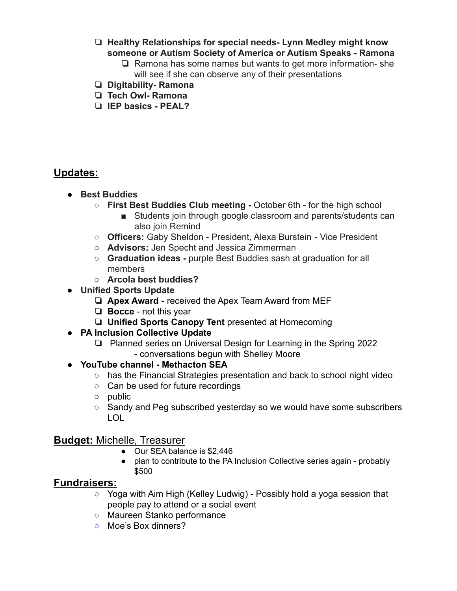- ❏ **Healthy Relationships for special needs- Lynn Medley might know someone or Autism Society of America or Autism Speaks - Ramona**
	- ❏ Ramona has some names but wants to get more information- she will see if she can observe any of their presentations
- ❏ **Digitability- Ramona**
- ❏ **Tech Owl- Ramona**
- ❏ **IEP basics PEAL?**

## **Updates:**

- **● Best Buddies**
	- **○ First Best Buddies Club meeting -** October 6th for the high school
		- Students join through google classroom and parents/students can also join Remind
	- **Officers:** Gaby Sheldon President, Alexa Burstein Vice President
	- **Advisors:** Jen Specht and Jessica Zimmerman
	- **○ Graduation ideas -** purple Best Buddies sash at graduation for all members
	- **○ Arcola best buddies?**
- **● Unified Sports Update**
	- ❏ **Apex Award -** received the Apex Team Award from MEF
	- ❏ **Bocce** not this year
	- ❏ **Unified Sports Canopy Tent** presented at Homecoming
- **● PA Inclusion Collective Update**
	- ❏ Planned series on Universal Design for Learning in the Spring 2022 - conversations begun with Shelley Moore
- **● YouTube channel Methacton SEA**
	- has the Financial Strategies presentation and back to school night video
	- Can be used for future recordings
	- public
	- Sandy and Peg subscribed vesterday so we would have some subscribers LOL

## **Budget:** Michelle, Treasurer

- Our SEA balance is \$2,446
- plan to contribute to the PA Inclusion Collective series again probably \$500

## **Fundraisers:**

- Yoga with Aim High (Kelley Ludwig) Possibly hold a yoga session that people pay to attend or a social event
- Maureen Stanko performance
- **○** Moe's Box dinners?